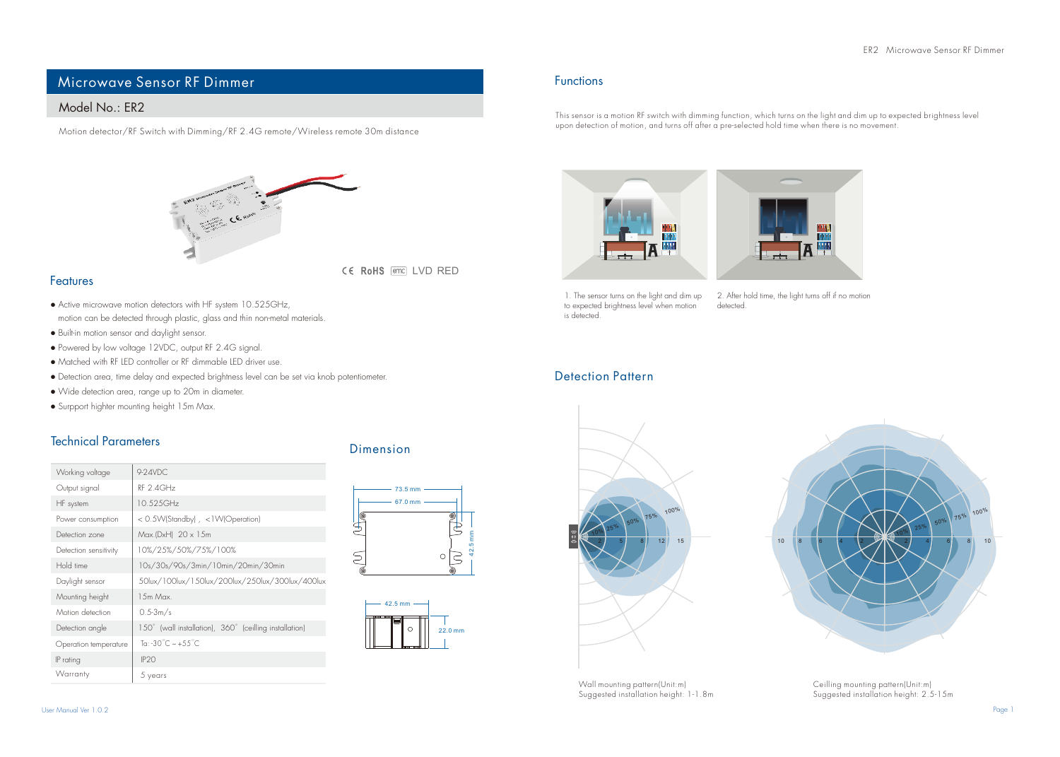# Microwave Sensor RF Dimmer

# Model No.: FR2

Motion detector/RF Switch with Dimming/RF 2.4G remote/Wireless remote 30m distance



CE RoHS (emc) LVD RED

#### Features

- Active microwave motion detectors with HF system 10.525GHz, motion can be detected through plastic, glass and thin non-metal materials.
- Built-in motion sensor and daylight sensor.
- Powered by low voltage 12VDC, output RF 2.4G signal.
- Matched with RF LED controller or RF dimmable LED driver use.
- Detection area, time delay and expected brightness level can be set via knob potentiometer.
- Wide detection area, range up to 20m in diameter.
- Surpport highter mounting height 15m Max.

## Technical Parameters

| Working voltage       | 9-24VDC                                                |  |
|-----------------------|--------------------------------------------------------|--|
| Output signal         | RF 2 4GHz                                              |  |
| HF system             | 10.525GHz                                              |  |
| Power consumption     | < 0.5W(Standby), <1W(Operation)                        |  |
| Detection zone        | Max.(DxH) 20 x 15m                                     |  |
| Detection sensitivity | 10%/25%/50%/75%/100%                                   |  |
| Hold time             | 10s/30s/90s/3min/10min/20min/30min                     |  |
| Daylight sensor       | 50lux/100lux/150lux/200lux/250lux/300lux/400lux        |  |
| Mounting height       | 1.5m Max                                               |  |
| Motion detection      | $0.5 - 3m/s$                                           |  |
| Detection angle       | 150° (wall installation), 360° (ceilling installation) |  |
| Operation temperature | To: -30°C ~ +55°C                                      |  |
| IP rating             | IP <sub>20</sub>                                       |  |
| Warranty              | 5 years                                                |  |

### Dimension





#### Functions

This sensor is a motion RF switch with dimming function, which turns on the light and dim up to expected brightness level upon detection of motion, and turns off after a pre-selected hold time when there is no movement.





to expected brightness level when motion is detected.

1. The sensor turns on the light and dim up 2. After hold time, the light turns off if no motion detected.

### Detection Pattern



Suggested installation height: 1-1.8m



Ceilling mounting pattern(Unit:m) Suggested installation height: 2.5-15m